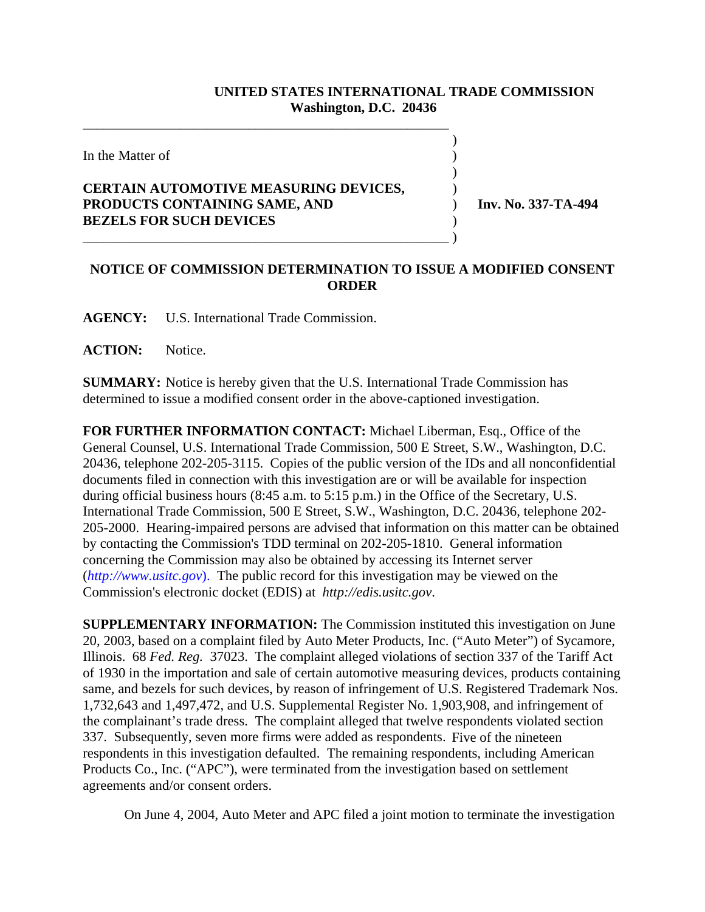## **UNITED STATES INTERNATIONAL TRADE COMMISSION Washington, D.C. 20436**

 $\overline{\phantom{a}}$ 

 $\overline{\phantom{a}}$ 

In the Matter of  $\blacksquare$ 

## **CERTAIN AUTOMOTIVE MEASURING DEVICES,** ) **PRODUCTS CONTAINING SAME, AND** ) **Inv. No. 337-TA-494 BEZELS FOR SUCH DEVICES** )

\_\_\_\_\_\_\_\_\_\_\_\_\_\_\_\_\_\_\_\_\_\_\_\_\_\_\_\_\_\_\_\_\_\_\_\_\_\_\_\_\_\_\_\_\_\_\_\_\_\_\_\_\_

\_\_\_\_\_\_\_\_\_\_\_\_\_\_\_\_\_\_\_\_\_\_\_\_\_\_\_\_\_\_\_\_\_\_\_\_\_\_\_\_\_\_\_\_\_\_\_\_\_\_\_\_\_ )

## **NOTICE OF COMMISSION DETERMINATION TO ISSUE A MODIFIED CONSENT ORDER**

**AGENCY:** U.S. International Trade Commission.

**ACTION:** Notice.

**SUMMARY:** Notice is hereby given that the U.S. International Trade Commission has determined to issue a modified consent order in the above-captioned investigation.

**FOR FURTHER INFORMATION CONTACT:** Michael Liberman, Esq., Office of the General Counsel, U.S. International Trade Commission, 500 E Street, S.W., Washington, D.C. 20436, telephone 202-205-3115. Copies of the public version of the IDs and all nonconfidential documents filed in connection with this investigation are or will be available for inspection during official business hours (8:45 a.m. to 5:15 p.m.) in the Office of the Secretary, U.S. International Trade Commission, 500 E Street, S.W., Washington, D.C. 20436, telephone 202- 205-2000. Hearing-impaired persons are advised that information on this matter can be obtained by contacting the Commission's TDD terminal on 202-205-1810. General information concerning the Commission may also be obtained by accessing its Internet server (*http://www.usitc.gov*). The public record for this investigation may be viewed on the Commission's electronic docket (EDIS) at *http://edis.usitc.gov*.

**SUPPLEMENTARY INFORMATION:** The Commission instituted this investigation on June 20, 2003, based on a complaint filed by Auto Meter Products, Inc. ("Auto Meter") of Sycamore, Illinois. 68 *Fed. Reg.* 37023. The complaint alleged violations of section 337 of the Tariff Act of 1930 in the importation and sale of certain automotive measuring devices, products containing same, and bezels for such devices, by reason of infringement of U.S. Registered Trademark Nos. 1,732,643 and 1,497,472, and U.S. Supplemental Register No. 1,903,908, and infringement of the complainant's trade dress. The complaint alleged that twelve respondents violated section 337. Subsequently, seven more firms were added as respondents. Five of the nineteen respondents in this investigation defaulted. The remaining respondents, including American Products Co., Inc. ("APC"), were terminated from the investigation based on settlement agreements and/or consent orders.

On June 4, 2004, Auto Meter and APC filed a joint motion to terminate the investigation